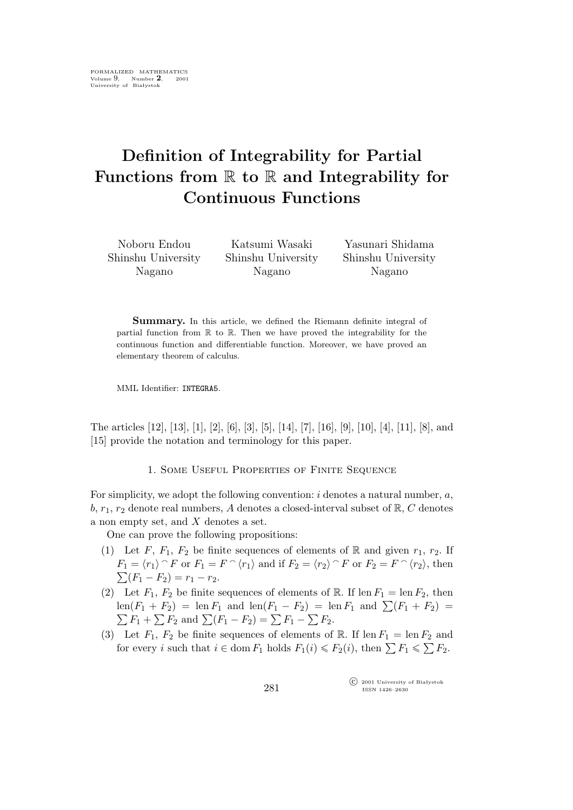# **Definition of Integrability for Partial Functions from** R **to** R **and Integrability for Continuous Functions**

Noboru Endou Shinshu University Nagano

Katsumi Wasaki Shinshu University Nagano

Yasunari Shidama Shinshu University Nagano

Summary. In this article, we defined the Riemann definite integral of partial function from  $\mathbb R$  to  $\mathbb R$ . Then we have proved the integrability for the continuous function and differentiable function. Moreover, we have proved an elementary theorem of calculus.

MML Identifier: INTEGRA5.

The articles [12], [13], [1], [2], [6], [3], [5], [14], [7], [16], [9], [10], [4], [11], [8], and [15] provide the notation and terminology for this paper.

1. SOME USEFUL PROPERTIES OF FINITE SEQUENCE

For simplicity, we adopt the following convention:  $i$  denotes a natural number,  $a$ , b,  $r_1$ ,  $r_2$  denote real numbers, A denotes a closed-interval subset of  $\mathbb{R}, C$  denotes a non empty set, and X denotes a set.

One can prove the following propositions:

- (1) Let F,  $F_1$ ,  $F_2$  be finite sequences of elements of R and given  $r_1$ ,  $r_2$ . If  $F_1 = \langle r_1 \rangle \cap F$  or  $F_1 = F \cap \langle r_1 \rangle$  and if  $F_2 = \langle r_2 \rangle \cap F$  or  $F_2 = F \cap \langle r_2 \rangle$ , then  $\sum (F_1 - F_2) = r_1 - r_2.$
- (2) Let  $F_1$ ,  $F_2$  be finite sequences of elements of R. If len  $F_1 = \text{len } F_2$ , then  $\text{len}(F_1 + F_2) = \text{len } F_1$  and  $\text{len}(F_1 - F_2) = \text{len } F_1$  and  $\sum (F_1 + F_2) =$  $\sum F_1 + \sum F_2$  and  $\sum (F_1 - F_2) = \sum F_1 - \sum F_2$ .
- (3) Let  $F_1$ ,  $F_2$  be finite sequences of elements of R. If len  $F_1 = \text{len } F_2$  and for every *i* such that  $i \in \text{dom } F_1$  holds  $F_1(i) \leq F_2(i)$ , then  $\sum F_1 \leq \sum F_2$ .

°c 2001 University of Białystok ISSN 1426–2630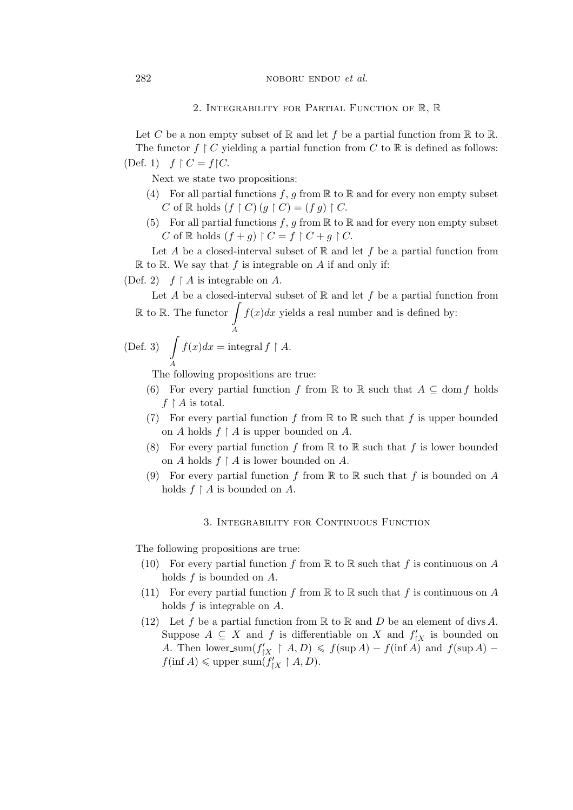### 282 **noboru ENDOU** et al.

### 2. Integrability for Partial Function of R, R

Let C be a non empty subset of R and let f be a partial function from R to R. The functor  $f \restriction C$  yielding a partial function from C to R is defined as follows: (Def. 1)  $f \upharpoonright C = f \upharpoonright C$ .

Next we state two propositions:

- (4) For all partial functions  $f, g$  from  $\mathbb R$  to  $\mathbb R$  and for every non empty subset C of R holds  $(f \restriction C)$   $(g \restriction C) = (fg) \restriction C$ .
- (5) For all partial functions f, g from  $\mathbb R$  to  $\mathbb R$  and for every non empty subset C of R holds  $(f+g) \upharpoonright C = f \upharpoonright C + g \upharpoonright C$ .

Let A be a closed-interval subset of  $\mathbb R$  and let f be a partial function from  $\mathbb R$  to  $\mathbb R$ . We say that f is integrable on A if and only if:

(Def. 2)  $f \upharpoonright A$  is integrable on A.

Let A be a closed-interval subset of  $\mathbb R$  and let f be a partial function from  $\mathbb R$  to  $\mathbb R$ . The functor  $\overline{\phantom{a}}$  $f(x)dx$  yields a real number and is defined by:

(Def. 3) 
$$
\int_{A} f(x)dx = \text{integral } f \upharpoonright A.
$$

The following propositions are true:

A

- (6) For every partial function f from R to R such that  $A \subseteq \text{dom } f$  holds  $f \restriction A$  is total.
- (7) For every partial function f from  $\mathbb R$  to  $\mathbb R$  such that f is upper bounded on A holds  $f \restriction A$  is upper bounded on A.
- (8) For every partial function f from  $\mathbb R$  to  $\mathbb R$  such that f is lower bounded on A holds  $f \restriction A$  is lower bounded on A.
- (9) For every partial function f from  $\mathbb R$  to  $\mathbb R$  such that f is bounded on A holds  $f \upharpoonright A$  is bounded on A.

## 3. Integrability for Continuous Function

The following propositions are true:

- (10) For every partial function f from  $\mathbb R$  to  $\mathbb R$  such that f is continuous on A holds  $f$  is bounded on  $A$ .
- (11) For every partial function f from  $\mathbb R$  to  $\mathbb R$  such that f is continuous on A holds f is integrable on A.
- (12) Let f be a partial function from  $\mathbb R$  to  $\mathbb R$  and  $D$  be an element of divs A. Suppose  $A \subseteq X$  and f is differentiable on X and  $f'_{|X}$  is bounded on A. Then lower\_sum $(f'_{|X} \restriction A, D) \leq f(\sup A) - f(\inf A)$  and  $f(\sup A) - f(\inf A)$  $f(\inf A) \leqslant$  upper\_sum $(f'_{|X}|^* A, D)$ .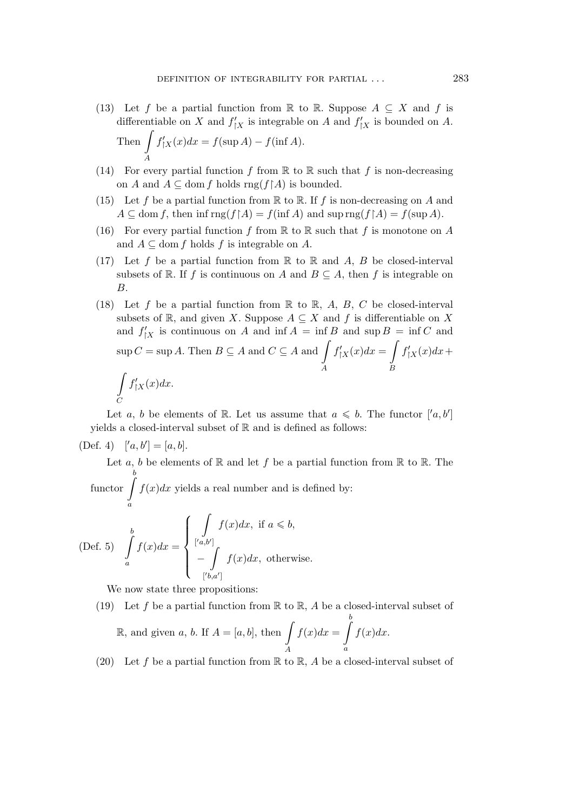- (13) Let f be a partial function from R to R. Suppose  $A \subseteq X$  and f is differentiable on X and  $f'_{\vert X}$  is integrable on A and  $f'_{\vert X}$  is bounded on A. Then  $\int f'_{|X}(x)dx = f(\sup A) - f(\inf A).$ A
- (14) For every partial function f from  $\mathbb R$  to  $\mathbb R$  such that f is non-decreasing on A and  $A \subseteq$  dom f holds rng(f $\upharpoonright$ A) is bounded.
- (15) Let f be a partial function from  $\mathbb R$  to  $\mathbb R$ . If f is non-decreasing on A and  $A \subseteq \text{dom } f$ , then  $\inf \text{rng}(f \upharpoonright A) = f(\inf A)$  and  $\sup \text{rng}(f \upharpoonright A) = f(\sup A)$ .
- (16) For every partial function f from  $\mathbb R$  to  $\mathbb R$  such that f is monotone on A and  $A \subseteq$  dom f holds f is integrable on A.
- (17) Let f be a partial function from  $\mathbb R$  to  $\mathbb R$  and A, B be closed-interval subsets of R. If f is continuous on A and  $B \subseteq A$ , then f is integrable on B.
- (18) Let f be a partial function from  $\mathbb R$  to  $\mathbb R$ , A, B, C be closed-interval subsets of  $\mathbb{R}$ , and given X. Suppose  $A \subseteq X$  and f is differentiable on X and  $f'_{|X}$  is continuous on A and inf  $A = \inf B$  and  $\sup B = \inf C$  and  $\sup C = \sup A$ . Then  $B \subseteq A$  and  $C \subseteq A$  and A  $f'_{\upharpoonright X}(x)dx =$ B  $f'_{\upharpoonright X}(x)dx +$ Z  $\mathcal{C}_{0}^{0}$  $f'_{\upharpoonright X}(x)dx$ .

Let a, b be elements of R. Let us assume that  $a \leq b$ . The functor  $[′a, b′]$ yields a closed-interval subset of R and is defined as follows:

(Def. 4) 
$$
[a, b'] = [a, b].
$$

Let a, b be elements of  $\mathbb R$  and let f be a partial function from  $\mathbb R$  to  $\mathbb R$ . The  $functor$ b  $f(x)dx$  yields a real number and is defined by:

a

(Def. 5) 
$$
\int_{a}^{b} f(x)dx = \begin{cases} \int_{[a,b']} f(x)dx, & \text{if } a \leq b, \\ -\int_{[b,a']} f(x)dx, & \text{otherwise.} \end{cases}
$$

We now state three propositions:

- (19) Let f be a partial function from  $\mathbb R$  to  $\mathbb R$ , A be a closed-interval subset of R, and given a, b. If  $A = [a, b]$ , then A  $f(x)dx =$ b a  $f(x)dx$ .
- (20) Let f be a partial function from  $\mathbb R$  to  $\mathbb R$ , A be a closed-interval subset of